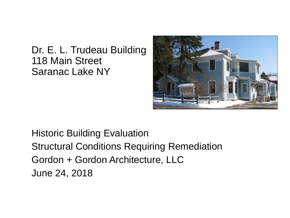## Dr. E. L. Trudeau Building 118 Main Street Saranac Lake NY



Historic Building Evaluation Structural Conditions Requiring Remediation Gordon + Gordon Architecture, LLC June 24, 2018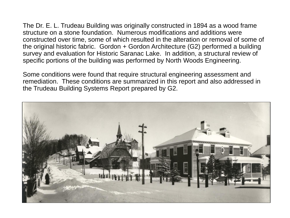The Dr. E. L. Trudeau Building was originally constructed in 1894 as a wood frame structure on a stone foundation. Numerous modifications and additions were constructed over time, some of which resulted in the alteration or removal of some of the original historic fabric. Gordon + Gordon Architecture (G2) performed a building survey and evaluation for Historic Saranac Lake. In addition, a structural review of specific portions of the building was performed by North Woods Engineering.

Some conditions were found that require structural engineering assessment and remediation. These conditions are summarized in this report and also addressed in the Trudeau Building Systems Report prepared by G2.

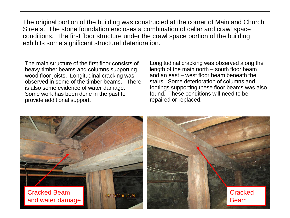The original portion of the building was constructed at the corner of Main and Church Streets. The stone foundation encloses a combination of cellar and crawl space conditions. The first floor structure under the crawl space portion of the building exhibits some significant structural deterioration.

The main structure of the first floor consists of heavy timber beams and columns supporting wood floor joists. Longitudinal cracking was observed in some of the timber beams. There is also some evidence of water damage. Some work has been done in the past to provide additional support.

Longitudinal cracking was observed along the length of the main north – south floor beam and an east – west floor beam beneath the stairs. Some deterioration of columns and footings supporting these floor beams was also found. These conditions will need to be repaired or replaced.

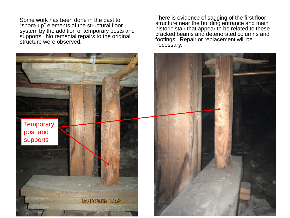Some work has been done in the past to "shore-up" elements of the structural floor system by the addition of temporary posts and supports. No remedial repairs to the original structure were observed.

There is evidence of sagging of the first floor structure near the building entrance and main historic stair that appear to be related to these cracked beams and deteriorated columns and footings. Repair or replacement will be necessary.

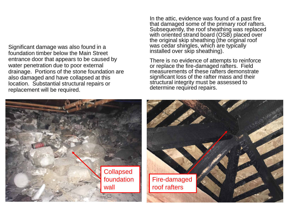Significant damage was also found in a foundation timber below the Main Street entrance door that appears to be caused by water penetration due to poor external drainage. Portions of the stone foundation are also damaged and have collapsed at this location. Substantial structural repairs or replacement will be required.

In the attic, evidence was found of a past fire that damaged some of the primary roof rafters. Subsequently, the roof sheathing was replaced with oriented strand board (OSB) placed over the original skip sheathing (the original roof was cedar shingles, which are typically installed over skip sheathing).

There is no evidence of attempts to reinforce or replace the fire-damaged rafters. Field measurements of these rafters demonstrate significant loss of the rafter mass and their structural integrity must be assessed to determine required repairs.